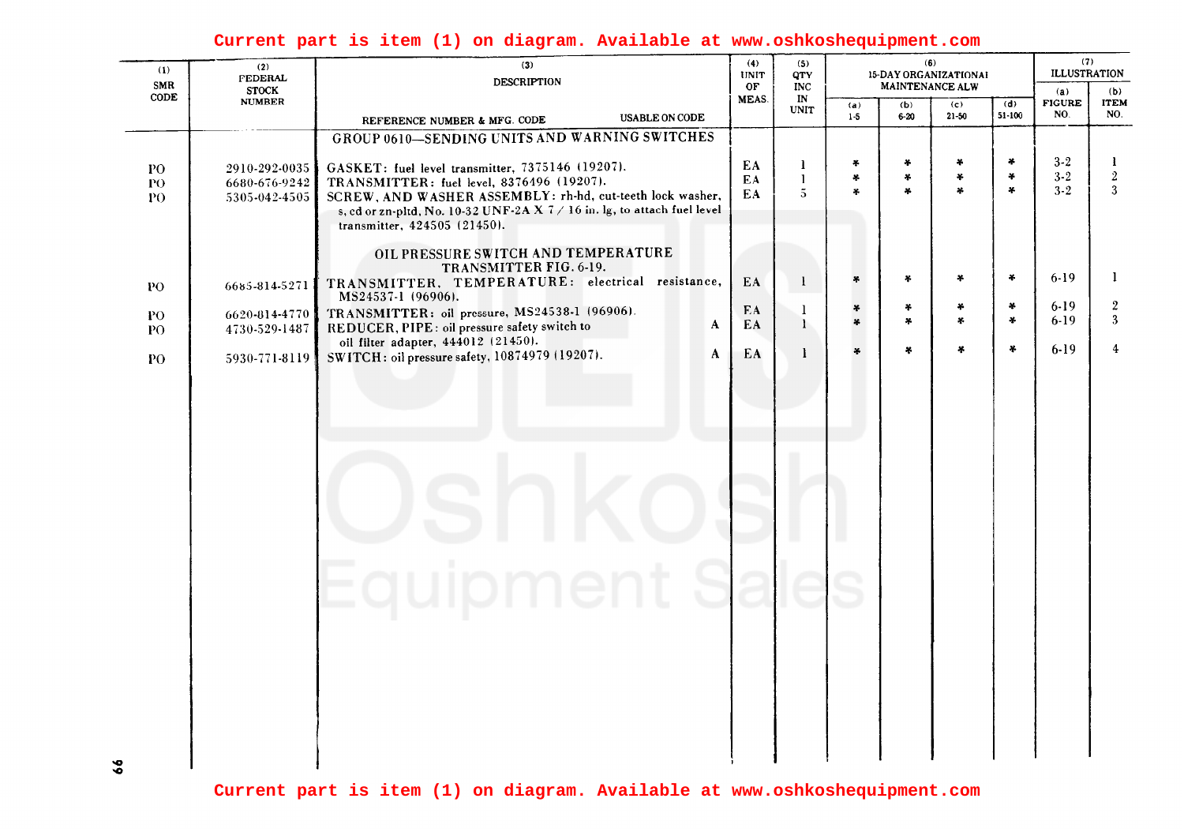## Current part is item (1) on diagram. Available at www.oshkoshequipment.com

| (1)<br>SMR               | (2)<br><b>FEDERAL</b><br><b>STOCK</b>           | (3)<br><b>DESCRIPTION</b>                                                                                                                                                      |                | (5)<br><b>QTY</b><br><b>INC</b>     | (6)<br>15-DAY ORGANIZATIONAL<br>MAINTENANCE ALW |                                      |                         |                                   | (7)<br><b>ILLUSTRATION</b><br>(a) |                                  |
|--------------------------|-------------------------------------------------|--------------------------------------------------------------------------------------------------------------------------------------------------------------------------------|----------------|-------------------------------------|-------------------------------------------------|--------------------------------------|-------------------------|-----------------------------------|-----------------------------------|----------------------------------|
| CODE                     | <b>NUMBER</b>                                   | <b>USABLE ON CODE</b><br>REFERENCE NUMBER & MFG. CODE                                                                                                                          | OF<br>MEAS.    | IN<br><b>UNIT</b>                   | (a)<br>$1 - 5$                                  | (b)<br>$6 - 20$                      | (c)<br>$21 - 50$        | (d)<br>$51 - 100$                 | <b>FIGURE</b><br>NO.              | (b)<br><b>ITEM</b><br>NO.        |
|                          |                                                 | GROUP 0610-SENDING UNITS AND WARNING SWITCHES                                                                                                                                  |                |                                     |                                                 |                                      |                         |                                   |                                   |                                  |
| ${\bf PO}$<br>P()<br>PO. | 2910-292-0035<br>6680-676-9242<br>5305-042-4505 | GASKET: fuel level transmitter, 7375146 (19207).<br>TRANSMITTER: fuel level, 8376496 (19207).<br>SCREW, AND WASHER ASSEMBLY: rh-hd, cut-teeth lock washer,                     | EA<br>EA<br>EA | 1<br>$\mathbf{1}$<br>$\overline{5}$ | $\frac{1}{2}$<br>$\frac{M}{2}$<br>¥.            | ÷<br>$\frac{1}{2}$<br>$\mathbf{a}_i$ | ¥<br>*<br>¥.            | $\frac{1}{2}$<br>$\ast$<br>$\ast$ | $3 - 2$<br>$3 - 2$<br>$3 - 2$     | 1<br>$\boldsymbol{2}$<br>3       |
|                          |                                                 | s, cd or zn-pltd, No. 10-32 UNF-2A X $7/16$ in. lg, to attach fuel level<br>transmitter, $424505$ $(21450)$ .<br>OIL PRESSURE SWITCH AND TEMPERATURE<br>TRANSMITTER FIG. 6-19. |                |                                     |                                                 |                                      |                         |                                   |                                   |                                  |
| PO                       | 6685-814-5271                                   | TRANSMITTER, TEMPERATURE: electrical resistance,<br>MS24537-1 (96906).                                                                                                         | EA             | $\mathbf{I}$                        | $\ast$                                          | ×.                                   | $\ast$                  | $\ast$<br>$\ddot{\bullet}$        | $6 - 19$<br>$6-19$                | $\mathbf{I}$<br>$\boldsymbol{2}$ |
| PO.<br>PO.               | 6620-814-4770<br>4730-529-1487                  | TRANSMITTER: oil pressure, MS24538-1 (96906).<br>A<br>REDUCER, PIPE: oil pressure safety switch to                                                                             | EA<br>EA       | 1<br>1                              | $\ast$<br>¥                                     | ¥<br>¥                               | $\star$<br>$\mathbf{x}$ | $\mathbf{x}$                      | $6-19$                            | 3                                |
| PO                       | 5930-771-8119                                   | oil filter adapter, 444012 (21450).<br>A<br>SWITCH: oil pressure safety, 10874979 (19207).                                                                                     | EA             | -1                                  | ¥                                               | ¥                                    | 4                       | $\frac{1}{2}$                     | $6 - 19$                          | $\boldsymbol{4}$                 |
|                          |                                                 |                                                                                                                                                                                |                |                                     |                                                 |                                      |                         |                                   |                                   |                                  |
|                          |                                                 |                                                                                                                                                                                |                |                                     |                                                 |                                      |                         |                                   |                                   |                                  |
|                          |                                                 |                                                                                                                                                                                |                |                                     |                                                 |                                      |                         |                                   |                                   |                                  |
|                          |                                                 |                                                                                                                                                                                |                |                                     |                                                 |                                      |                         |                                   |                                   |                                  |
|                          |                                                 | ne                                                                                                                                                                             |                |                                     |                                                 |                                      |                         |                                   |                                   |                                  |
|                          |                                                 |                                                                                                                                                                                |                |                                     |                                                 |                                      |                         |                                   |                                   |                                  |
|                          |                                                 |                                                                                                                                                                                |                |                                     |                                                 |                                      |                         |                                   |                                   |                                  |
|                          |                                                 |                                                                                                                                                                                |                |                                     |                                                 |                                      |                         |                                   |                                   |                                  |
|                          |                                                 |                                                                                                                                                                                |                |                                     |                                                 |                                      |                         |                                   |                                   |                                  |
|                          |                                                 |                                                                                                                                                                                |                |                                     |                                                 |                                      |                         |                                   |                                   |                                  |

Current part is item (1) on diagram. Available at www.oshkoshequipment.com